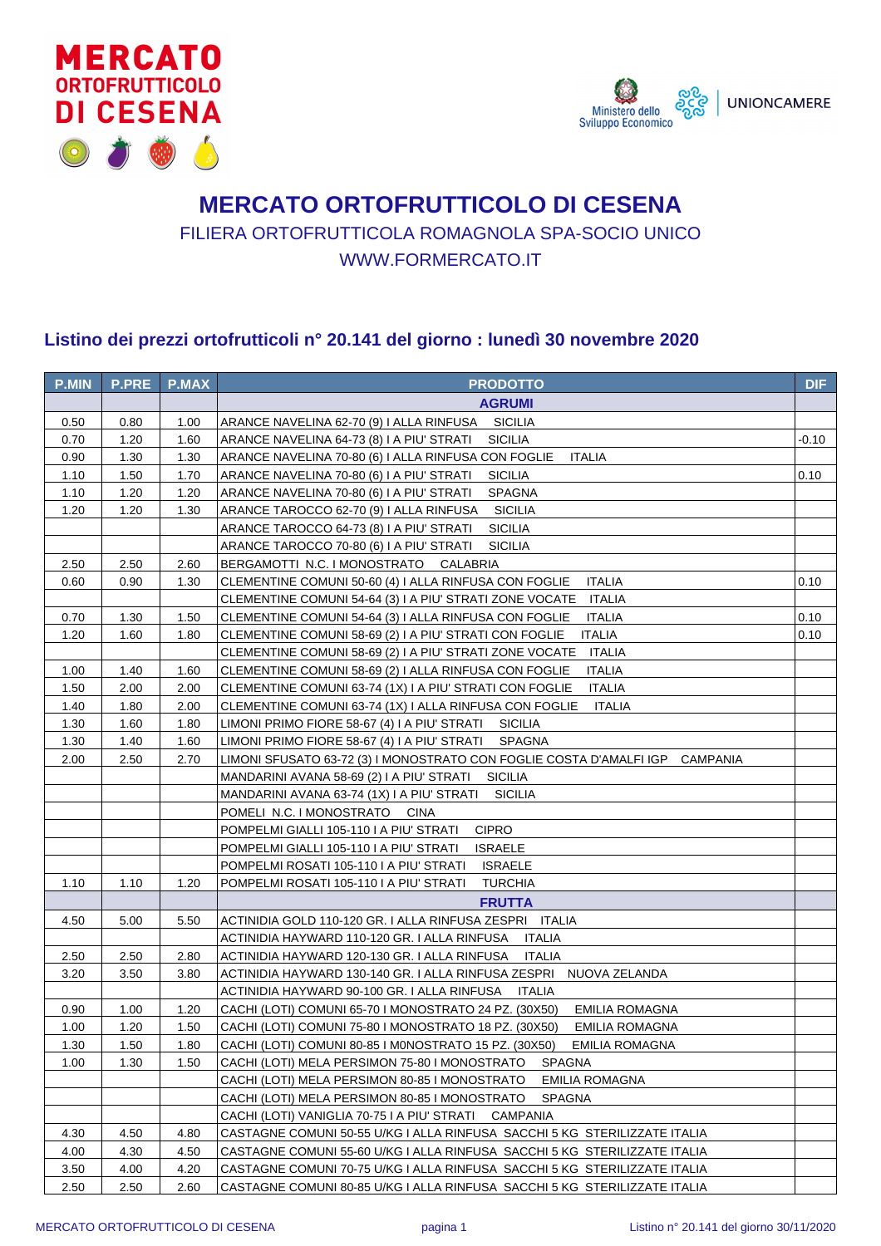



## **MERCATO ORTOFRUTTICOLO DI CESENA** FILIERA ORTOFRUTTICOLA ROMAGNOLA SPA-SOCIO UNICO WWW.FORMERCATO.IT

## **Listino dei prezzi ortofrutticoli n° 20.141 del giorno : lunedì 30 novembre 2020**

| <b>P.MIN</b> | <b>P.PRE</b> | <b>P.MAX</b> | <b>PRODOTTO</b>                                                                        | <b>DIF</b> |
|--------------|--------------|--------------|----------------------------------------------------------------------------------------|------------|
|              |              |              | <b>AGRUMI</b>                                                                          |            |
| 0.50         | 0.80         | 1.00         | ARANCE NAVELINA 62-70 (9) I ALLA RINFUSA SICILIA                                       |            |
| 0.70         | 1.20         | 1.60         | ARANCE NAVELINA 64-73 (8) I A PIU' STRATI<br><b>SICILIA</b>                            | -0.10      |
| 0.90         | 1.30         | 1.30         | ARANCE NAVELINA 70-80 (6) I ALLA RINFUSA CON FOGLIE<br><b>ITALIA</b>                   |            |
| 1.10         | 1.50         | 1.70         | ARANCE NAVELINA 70-80 (6) I A PIU' STRATI<br><b>SICILIA</b>                            | 0.10       |
| 1.10         | 1.20         | 1.20         | ARANCE NAVELINA 70-80 (6) I A PIU' STRATI<br><b>SPAGNA</b>                             |            |
| 1.20         | 1.20         | 1.30         | ARANCE TAROCCO 62-70 (9) I ALLA RINFUSA<br><b>SICILIA</b>                              |            |
|              |              |              | ARANCE TAROCCO 64-73 (8) I A PIU' STRATI<br><b>SICILIA</b>                             |            |
|              |              |              | ARANCE TAROCCO 70-80 (6) I A PIU' STRATI<br><b>SICILIA</b>                             |            |
| 2.50         | 2.50         | 2.60         | BERGAMOTTI N.C. I MONOSTRATO CALABRIA                                                  |            |
| 0.60         | 0.90         | 1.30         | CLEMENTINE COMUNI 50-60 (4) I ALLA RINFUSA CON FOGLIE<br><b>ITALIA</b>                 | 0.10       |
|              |              |              | CLEMENTINE COMUNI 54-64 (3) I A PIU' STRATI ZONE VOCATE<br>ITALIA                      |            |
| 0.70         | 1.30         | 1.50         | CLEMENTINE COMUNI 54-64 (3) I ALLA RINFUSA CON FOGLIE<br><b>ITALIA</b>                 | 0.10       |
| 1.20         | 1.60         | 1.80         | <b>ITALIA</b><br>CLEMENTINE COMUNI 58-69 (2) I A PIU' STRATI CON FOGLIE                | 0.10       |
|              |              |              | <b>ITALIA</b><br>CLEMENTINE COMUNI 58-69 (2) I A PIU' STRATI ZONE VOCATE               |            |
| 1.00         | 1.40         | 1.60         | <b>ITALIA</b><br>CLEMENTINE COMUNI 58-69 (2) I ALLA RINFUSA CON FOGLIE                 |            |
| 1.50         | 2.00         | 2.00         | <b>ITALIA</b><br>CLEMENTINE COMUNI 63-74 (1X) I A PIU' STRATI CON FOGLIE               |            |
| 1.40         | 1.80         | 2.00         | CLEMENTINE COMUNI 63-74 (1X) I ALLA RINFUSA CON FOGLIE<br><b>ITALIA</b>                |            |
| 1.30         | 1.60         | 1.80         | LIMONI PRIMO FIORE 58-67 (4) I A PIU' STRATI SICILIA                                   |            |
| 1.30         | 1.40         | 1.60         | LIMONI PRIMO FIORE 58-67 (4) I A PIU' STRATI SPAGNA                                    |            |
| 2.00         | 2.50         | 2.70         | LIMONI SFUSATO 63-72 (3) I MONOSTRATO CON FOGLIE COSTA D'AMALFI IGP<br><b>CAMPANIA</b> |            |
|              |              |              | <b>SICILIA</b><br>MANDARINI AVANA 58-69 (2) I A PIU' STRATI                            |            |
|              |              |              | <b>SICILIA</b><br>MANDARINI AVANA 63-74 (1X) I A PIU' STRATI                           |            |
|              |              |              | POMELI N.C. I MONOSTRATO CINA                                                          |            |
|              |              |              | POMPELMI GIALLI 105-110 I A PIU' STRATI<br><b>CIPRO</b>                                |            |
|              |              |              | POMPELMI GIALLI 105-110 I A PIU' STRATI<br><b>ISRAELE</b>                              |            |
|              |              |              | POMPELMI ROSATI 105-110 I A PIU' STRATI<br><b>ISRAELE</b>                              |            |
| 1.10         | 1.10         | 1.20         | POMPELMI ROSATI 105-110 I A PIU' STRATI<br><b>TURCHIA</b>                              |            |
|              |              |              | <b>FRUTTA</b>                                                                          |            |
| 4.50         | 5.00         | 5.50         | ACTINIDIA GOLD 110-120 GR. I ALLA RINFUSA ZESPRI ITALIA                                |            |
|              |              |              | ACTINIDIA HAYWARD 110-120 GR. I ALLA RINFUSA<br><b>ITALIA</b>                          |            |
| 2.50         | 2.50         | 2.80         | ACTINIDIA HAYWARD 120-130 GR. I ALLA RINFUSA<br><b>ITALIA</b>                          |            |
| 3.20         | 3.50         | 3.80         | ACTINIDIA HAYWARD 130-140 GR. I ALLA RINFUSA ZESPRI NUOVA ZELANDA                      |            |
|              |              |              | ACTINIDIA HAYWARD 90-100 GR. I ALLA RINFUSA<br><b>ITALIA</b>                           |            |
| 0.90         | 1.00         | 1.20         | CACHI (LOTI) COMUNI 65-70 I MONOSTRATO 24 PZ. (30X50)<br>EMILIA ROMAGNA                |            |
| 1.00         | 1.20         | 1.50         | CACHI (LOTI) COMUNI 75-80 I MONOSTRATO 18 PZ. (30X50)<br>EMILIA ROMAGNA                |            |
| 1.30         | 1.50         | 1.80         | CACHI (LOTI) COMUNI 80-85 I M0NOSTRATO 15 PZ. (30X50)<br>EMILIA ROMAGNA                |            |
| 1.00         | 1.30         | 1.50         | CACHI (LOTI) MELA PERSIMON 75-80 I MONOSTRATO<br><b>SPAGNA</b>                         |            |
|              |              |              | CACHI (LOTI) MELA PERSIMON 80-85 I MONOSTRATO<br>EMILIA ROMAGNA                        |            |
|              |              |              | CACHI (LOTI) MELA PERSIMON 80-85 I MONOSTRATO<br><b>SPAGNA</b>                         |            |
|              |              |              | CACHI (LOTI) VANIGLIA 70-75 I A PIU' STRATI<br><b>CAMPANIA</b>                         |            |
| 4.30         | 4.50         | 4.80         | CASTAGNE COMUNI 50-55 U/KG I ALLA RINFUSA SACCHI 5 KG STERILIZZATE ITALIA              |            |
| 4.00         | 4.30         | 4.50         | CASTAGNE COMUNI 55-60 U/KG I ALLA RINFUSA SACCHI 5 KG STERILIZZATE ITALIA              |            |
| 3.50         | 4.00         | 4.20         | CASTAGNE COMUNI 70-75 U/KG I ALLA RINFUSA SACCHI 5 KG STERILIZZATE ITALIA              |            |
| 2.50         | 2.50         | 2.60         | CASTAGNE COMUNI 80-85 U/KG I ALLA RINFUSA SACCHI 5 KG STERILIZZATE ITALIA              |            |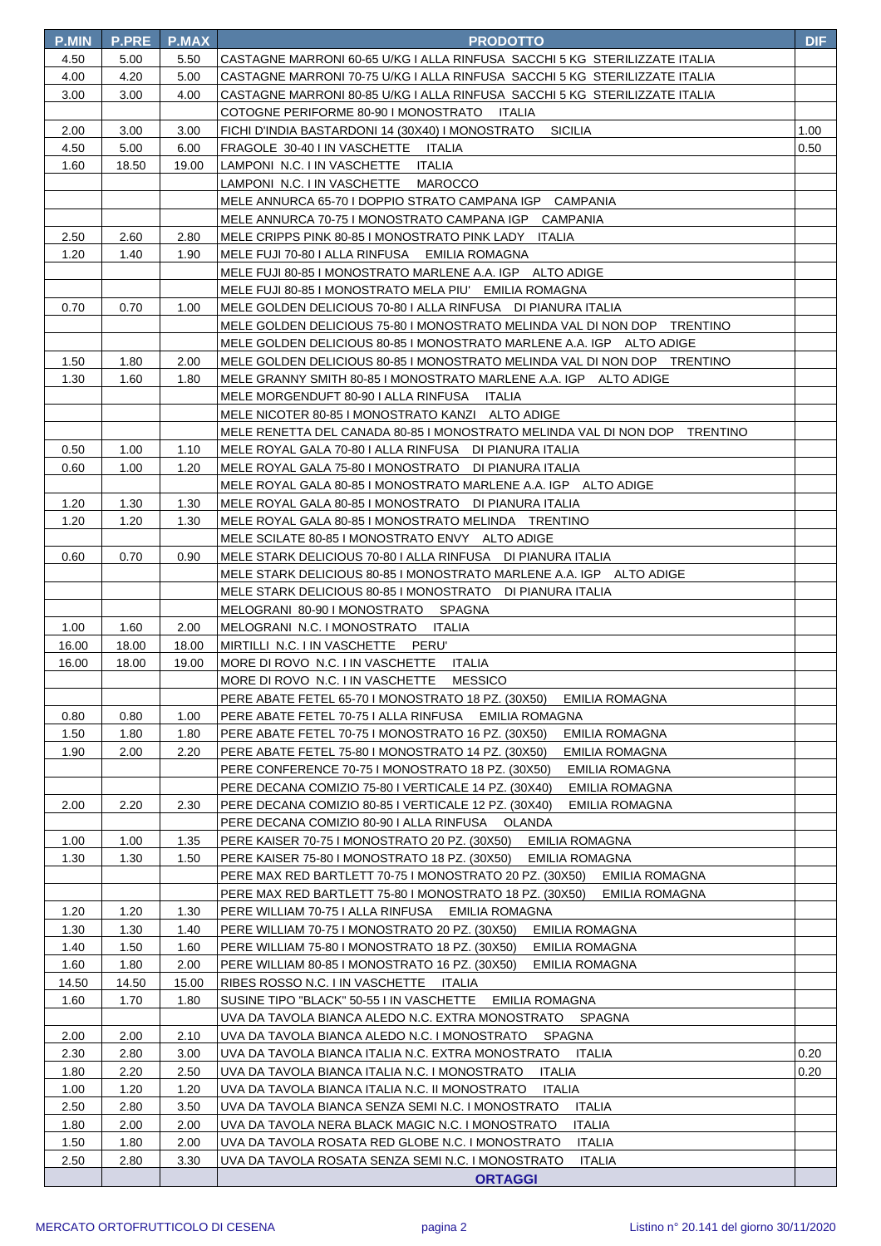| <b>P.MIN</b> | <b>P.PRE</b> | <b>P.MAX</b> | <b>PRODOTTO</b>                                                               | <b>DIF</b> |
|--------------|--------------|--------------|-------------------------------------------------------------------------------|------------|
| 4.50         | 5.00         | 5.50         | CASTAGNE MARRONI 60-65 U/KG I ALLA RINFUSA SACCHI 5 KG STERILIZZATE ITALIA    |            |
| 4.00         | 4.20         | 5.00         | CASTAGNE MARRONI 70-75 U/KG I ALLA RINFUSA SACCHI 5 KG STERILIZZATE ITALIA    |            |
| 3.00         | 3.00         | 4.00         | CASTAGNE MARRONI 80-85 U/KG I ALLA RINFUSA SACCHI 5 KG STERILIZZATE ITALIA    |            |
|              |              |              | COTOGNE PERIFORME 80-90 I MONOSTRATO ITALIA                                   |            |
| 2.00         | 3.00         | 3.00         | <b>SICILIA</b><br>FICHI D'INDIA BASTARDONI 14 (30X40) I MONOSTRATO            | 1.00       |
| 4.50         | 5.00         | 6.00         | FRAGOLE 30-40 I IN VASCHETTE ITALIA                                           | 0.50       |
| 1.60         | 18.50        | 19.00        | LAMPONI N.C. I IN VASCHETTE ITALIA                                            |            |
|              |              |              | LAMPONI_N.C. I IN VASCHETTE<br>MAROCCO                                        |            |
|              |              |              | MELE ANNURCA 65-70 I DOPPIO STRATO CAMPANA IGP CAMPANIA                       |            |
|              |              |              | MELE ANNURCA 70-75 I MONOSTRATO CAMPANA IGP CAMPANIA                          |            |
| 2.50         | 2.60         | 2.80         | MELE CRIPPS PINK 80-85 I MONOSTRATO PINK LADY ITALIA                          |            |
| 1.20         | 1.40         | 1.90         | MELE FUJI 70-80 I ALLA RINFUSA EMILIA ROMAGNA                                 |            |
|              |              |              | MELE FUJI 80-85 I MONOSTRATO MARLENE A.A. IGP ALTO ADIGE                      |            |
|              |              |              | MELE FUJI 80-85 I MONOSTRATO MELA PIU' EMILIA ROMAGNA                         |            |
| 0.70         | 0.70         | 1.00         | MELE GOLDEN DELICIOUS 70-80 I ALLA RINFUSA DI PIANURA ITALIA                  |            |
|              |              |              | MELE GOLDEN DELICIOUS 75-80 I MONOSTRATO MELINDA VAL DI NON DOP TRENTINO      |            |
|              |              |              | MELE GOLDEN DELICIOUS 80-85 I MONOSTRATO MARLENE A.A. IGP ALTO ADIGE          |            |
| 1.50         | 1.80         | 2.00         | MELE GOLDEN DELICIOUS 80-85 I MONOSTRATO MELINDA VAL DI NON DOP TRENTINO      |            |
| 1.30         | 1.60         | 1.80         | MELE GRANNY SMITH 80-85 I MONOSTRATO MARLENE A.A. IGP ALTO ADIGE              |            |
|              |              |              | MELE MORGENDUFT 80-90 I ALLA RINFUSA ITALIA                                   |            |
|              |              |              | MELE NICOTER 80-85 I MONOSTRATO KANZI ALTO ADIGE                              |            |
|              |              |              | MELE RENETTA DEL CANADA 80-85 I MONOSTRATO MELINDA VAL DI NON DOP TRENTINO    |            |
| 0.50         | 1.00         | 1.10         | MELE ROYAL GALA 70-80 I ALLA RINFUSA DI PIANURA ITALIA                        |            |
| 0.60         | 1.00         | 1.20         | MELE ROYAL GALA 75-80 I MONOSTRATO DI PIANURA ITALIA                          |            |
|              |              |              | MELE ROYAL GALA 80-85 I MONOSTRATO MARLENE A.A. IGP ALTO ADIGE                |            |
| 1.20         | 1.30         | 1.30         | MELE ROYAL GALA 80-85 I MONOSTRATO DI PIANURA ITALIA                          |            |
| 1.20         | 1.20         | 1.30         | MELE ROYAL GALA 80-85 I MONOSTRATO MELINDA TRENTINO                           |            |
|              |              |              | MELE SCILATE 80-85 I MONOSTRATO ENVY ALTO ADIGE                               |            |
| 0.60         | 0.70         | 0.90         | MELE STARK DELICIOUS 70-80 I ALLA RINFUSA DI PIANURA ITALIA                   |            |
|              |              |              | MELE STARK DELICIOUS 80-85 I MONOSTRATO MARLENE A.A. IGP ALTO ADIGE           |            |
|              |              |              | MELE STARK DELICIOUS 80-85 I MONOSTRATO DI PIANURA ITALIA                     |            |
|              |              |              | MELOGRANI 80-90 I MONOSTRATO SPAGNA                                           |            |
| 1.00         | 1.60         | 2.00         | MELOGRANI N.C. I MONOSTRATO<br>ITALIA                                         |            |
| 16.00        | 18.00        | 18.00        | MIRTILLI N.C. I IN VASCHETTE<br>PERU'                                         |            |
| 16.00        | 18.00        | 19.00        | MORE DI ROVO N.C. I IN VASCHETTE ITALIA                                       |            |
|              |              |              | <b>MESSICO</b><br>MORE DI ROVO N.C. I IN VASCHETTE                            |            |
|              |              |              | PERE ABATE FETEL 65-70 I MONOSTRATO 18 PZ. (30X50)<br>EMILIA ROMAGNA          |            |
| 0.80         | 0.80         | 1.00         | PERE ABATE FETEL 70-75 I ALLA RINFUSA EMILIA ROMAGNA                          |            |
| 1.50         | 1.80         | 1.80         | PERE ABATE FETEL 70-75 I MONOSTRATO 16 PZ. (30X50)<br>EMILIA ROMAGNA          |            |
| 1.90         | 2.00         | 2.20         | PERE ABATE FETEL 75-80 I MONOSTRATO 14 PZ. (30X50)<br><b>EMILIA ROMAGNA</b>   |            |
|              |              |              | PERE CONFERENCE 70-75 I MONOSTRATO 18 PZ. (30X50)<br>EMILIA ROMAGNA           |            |
|              |              |              | PERE DECANA COMIZIO 75-80 I VERTICALE 14 PZ. (30X40)<br>EMILIA ROMAGNA        |            |
| 2.00         | 2.20         | 2.30         | PERE DECANA COMIZIO 80-85 I VERTICALE 12 PZ. (30X40)<br><b>EMILIA ROMAGNA</b> |            |
|              |              |              | PERE DECANA COMIZIO 80-90 I ALLA RINFUSA OLANDA                               |            |
| 1.00         | 1.00         | 1.35         | PERE KAISER 70-75 I MONOSTRATO 20 PZ. (30X50)<br>EMILIA ROMAGNA               |            |
| 1.30         | 1.30         | 1.50         | PERE KAISER 75-80 I MONOSTRATO 18 PZ. (30X50)<br>EMILIA ROMAGNA               |            |
|              |              |              | PERE MAX RED BARTLETT 70-75 I MONOSTRATO 20 PZ. (30X50)<br>EMILIA ROMAGNA     |            |
|              |              |              | PERE MAX RED BARTLETT 75-80 I MONOSTRATO 18 PZ. (30X50)<br>EMILIA ROMAGNA     |            |
| 1.20         | 1.20         | 1.30         | PERE WILLIAM 70-75 I ALLA RINFUSA EMILIA ROMAGNA                              |            |
| 1.30         | 1.30         | 1.40         | PERE WILLIAM 70-75 I MONOSTRATO 20 PZ. (30X50)<br>EMILIA ROMAGNA              |            |
| 1.40         | 1.50         | 1.60         | PERE WILLIAM 75-80 I MONOSTRATO 18 PZ. (30X50)<br>EMILIA ROMAGNA              |            |
| 1.60         | 1.80         | 2.00         | PERE WILLIAM 80-85 I MONOSTRATO 16 PZ. (30X50)<br>EMILIA ROMAGNA              |            |
| 14.50        | 14.50        | 15.00        | RIBES ROSSO N.C. I IN VASCHETTE<br>ITALIA                                     |            |
| 1.60         |              | 1.80         | EMILIA ROMAGNA                                                                |            |
|              | 1.70         |              | SUSINE TIPO "BLACK" 50-55 I IN VASCHETTE<br><b>SPAGNA</b>                     |            |
|              |              |              | UVA DA TAVOLA BIANCA ALEDO N.C. EXTRA MONOSTRATO                              |            |
| 2.00         | 2.00         | 2.10         | UVA DA TAVOLA BIANCA ALEDO N.C. I MONOSTRATO<br><b>SPAGNA</b>                 |            |
| 2.30         | 2.80         | 3.00         | UVA DA TAVOLA BIANCA ITALIA N.C. EXTRA MONOSTRATO<br><b>ITALIA</b>            | 0.20       |
| 1.80         | 2.20         | 2.50         | UVA DA TAVOLA BIANCA ITALIA N.C. I MONOSTRATO<br><b>ITALIA</b>                | 0.20       |
| 1.00         | 1.20         | 1.20         | UVA DA TAVOLA BIANCA ITALIA N.C. II MONOSTRATO<br>ITALIA                      |            |
| 2.50         | 2.80         | 3.50         | UVA DA TAVOLA BIANCA SENZA SEMI N.C. I MONOSTRATO<br>ITALIA                   |            |
| 1.80         | 2.00         | 2.00         | <b>ITALIA</b><br>UVA DA TAVOLA NERA BLACK MAGIC N.C. I MONOSTRATO             |            |
| 1.50         | 1.80         | 2.00         | <b>ITALIA</b><br>UVA DA TAVOLA ROSATA RED GLOBE N.C. I MONOSTRATO             |            |
| 2.50         | 2.80         | 3.30         | UVA DA TAVOLA ROSATA SENZA SEMI N.C. I MONOSTRATO<br><b>ITALIA</b>            |            |
|              |              |              | <b>ORTAGGI</b>                                                                |            |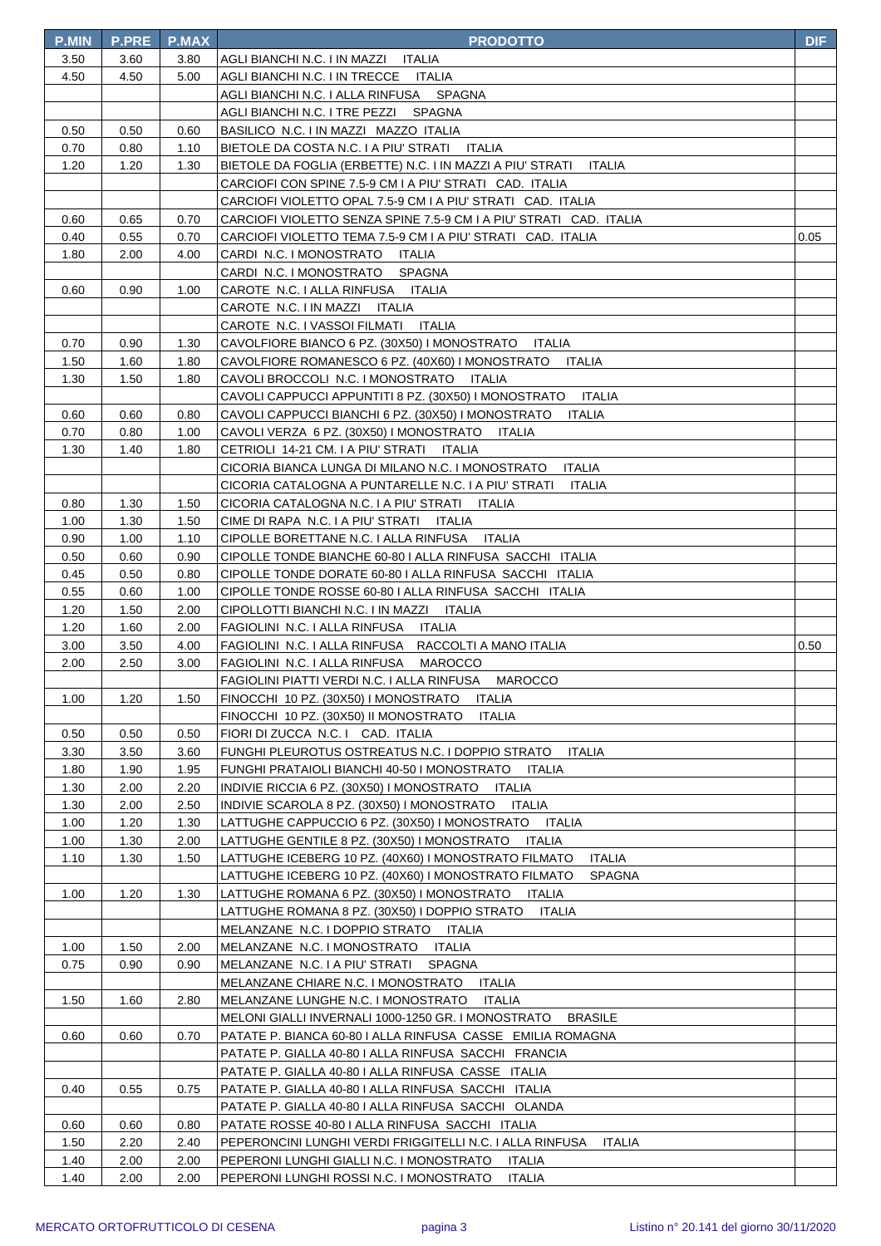| <b>P.MIN</b> | <b>P.PRE</b> | <b>P.MAX</b> | <b>PRODOTTO</b>                                                                                                 | DIF  |
|--------------|--------------|--------------|-----------------------------------------------------------------------------------------------------------------|------|
| 3.50         | 3.60         | 3.80         | AGLI BIANCHI N.C. I IN MAZZI ITALIA                                                                             |      |
| 4.50         | 4.50         | 5.00         | AGLI BIANCHI N.C. I IN TRECCE ITALIA                                                                            |      |
|              |              |              | AGLI BIANCHI N.C. I ALLA RINFUSA SPAGNA                                                                         |      |
|              |              |              | AGLI BIANCHI N.C. I TRE PEZZI SPAGNA                                                                            |      |
| 0.50         | 0.50         | 0.60         | BASILICO N.C. I IN MAZZI MAZZO ITALIA                                                                           |      |
| 0.70         | 0.80         | 1.10         | BIETOLE DA COSTA N.C. I A PIU' STRATI ITALIA                                                                    |      |
| 1.20         | 1.20         | 1.30         | BIETOLE DA FOGLIA (ERBETTE) N.C. I IN MAZZI A PIU' STRATI<br>ITALIA                                             |      |
|              |              |              | CARCIOFI CON SPINE 7.5-9 CM I A PIU' STRATI - CAD. ITALIA                                                       |      |
|              |              |              | CARCIOFI VIOLETTO OPAL 7.5-9 CM I A PIU' STRATI CAD. ITALIA                                                     |      |
| 0.60         | 0.65         | 0.70         | CARCIOFI VIOLETTO SENZA SPINE 7.5-9 CM I A PIU' STRATI CAD. ITALIA                                              |      |
| 0.40         | 0.55         | 0.70         | CARCIOFI VIOLETTO TEMA 7.5-9 CM I A PIU' STRATI CAD. ITALIA                                                     | 0.05 |
| 1.80         | 2.00         | 4.00         | CARDI N.C. I MONOSTRATO ITALIA                                                                                  |      |
|              |              |              | CARDI N.C. I MONOSTRATO<br>SPAGNA                                                                               |      |
| 0.60         | 0.90         | 1.00         | CAROTE N.C. I ALLA RINFUSA ITALIA                                                                               |      |
|              |              |              | CAROTE N.C. I IN MAZZI ITALIA                                                                                   |      |
|              |              |              | CAROTE N.C. I VASSOI FILMATI ITALIA                                                                             |      |
| 0.70         | 0.90         | 1.30         | CAVOLFIORE BIANCO 6 PZ. (30X50) I MONOSTRATO ITALIA                                                             |      |
| 1.50         | 1.60         | 1.80         | CAVOLFIORE ROMANESCO 6 PZ. (40X60) I MONOSTRATO<br><b>ITALIA</b>                                                |      |
| 1.30         | 1.50         | 1.80         | CAVOLI BROCCOLI N.C. I MONOSTRATO ITALIA                                                                        |      |
|              |              |              | CAVOLI CAPPUCCI APPUNTITI 8 PZ. (30X50) I MONOSTRATO ITALIA                                                     |      |
| 0.60         | 0.60         | 0.80         | CAVOLI CAPPUCCI BIANCHI 6 PZ. (30X50) I MONOSTRATO<br><b>ITALIA</b>                                             |      |
| 0.70         | 0.80         | 1.00         | CAVOLI VERZA 6 PZ. (30X50) I MONOSTRATO<br>ITALIA                                                               |      |
| 1.30         | 1.40         | 1.80         | CETRIOLI 14-21 CM. I A PIU' STRATI ITALIA                                                                       |      |
|              |              |              | <b>ITALIA</b><br>CICORIA BIANCA LUNGA DI MILANO N.C. I MONOSTRATO                                               |      |
|              |              |              | CICORIA CATALOGNA A PUNTARELLE N.C. I A PIU' STRATI<br>ITALIA                                                   |      |
| 0.80         | 1.30         | 1.50         | CICORIA CATALOGNA N.C. I A PIU' STRATI ITALIA                                                                   |      |
| 1.00         | 1.30         | 1.50         | CIME DI RAPA N.C. I A PIU' STRATI ITALIA                                                                        |      |
| 0.90         | 1.00         | 1.10         | CIPOLLE BORETTANE N.C. I ALLA RINFUSA ITALIA                                                                    |      |
| 0.50         | 0.60         | 0.90         | CIPOLLE TONDE BIANCHE 60-80 I ALLA RINFUSA SACCHI ITALIA                                                        |      |
| 0.45         | 0.50         | 0.80         | CIPOLLE TONDE DORATE 60-80 I ALLA RINFUSA SACCHI ITALIA                                                         |      |
| 0.55         | 0.60         | 1.00         | CIPOLLE TONDE ROSSE 60-80 I ALLA RINFUSA SACCHI ITALIA                                                          |      |
| 1.20         | 1.50         | 2.00         | CIPOLLOTTI BIANCHI N.C. I IN MAZZI ITALIA                                                                       |      |
| 1.20         | 1.60         | 2.00         | FAGIOLINI N.C. I ALLA RINFUSA ITALIA                                                                            |      |
| 3.00         | 3.50         | 4.00         | FAGIOLINI N.C. I ALLA RINFUSA RACCOLTI A MANO ITALIA                                                            | 0.50 |
| 2.00         | 2.50         | 3.00         | FAGIOLINI N.C. I ALLA RINFUSA<br>MAROCCO                                                                        |      |
| 1.00         | 1.20         | 1.50         | FAGIOLINI PIATTI VERDI N.C. I ALLA RINFUSA MAROCCO                                                              |      |
|              |              |              | FINOCCHI 10 PZ. (30X50) I MONOSTRATO<br><b>ITALIA</b><br>FINOCCHI 10 PZ. (30X50) II MONOSTRATO<br><b>ITALIA</b> |      |
| 0.50         | 0.50         | 0.50         | FIORI DI ZUCCA N.C. I CAD. ITALIA                                                                               |      |
| 3.30         | 3.50         | 3.60         | FUNGHI PLEUROTUS OSTREATUS N.C. I DOPPIO STRATO<br><b>ITALIA</b>                                                |      |
| 1.80         | 1.90         | 1.95         | FUNGHI PRATAIOLI BIANCHI 40-50 I MONOSTRATO<br>ITALIA                                                           |      |
| 1.30         | 2.00         | 2.20         | INDIVIE RICCIA 6 PZ. (30X50) I MONOSTRATO ITALIA                                                                |      |
| 1.30         | 2.00         | 2.50         | INDIVIE SCAROLA 8 PZ. (30X50) I MONOSTRATO ITALIA                                                               |      |
| 1.00         | 1.20         | 1.30         | LATTUGHE CAPPUCCIO 6 PZ. (30X50) I MONOSTRATO<br>ITALIA                                                         |      |
| 1.00         | 1.30         | 2.00         | LATTUGHE GENTILE 8 PZ. (30X50) I MONOSTRATO<br>ITALIA                                                           |      |
| 1.10         | 1.30         | 1.50         | LATTUGHE ICEBERG 10 PZ. (40X60) I MONOSTRATO FILMATO<br><b>ITALIA</b>                                           |      |
|              |              |              | LATTUGHE ICEBERG 10 PZ. (40X60) I MONOSTRATO FILMATO<br>SPAGNA                                                  |      |
| 1.00         | 1.20         | 1.30         | LATTUGHE ROMANA 6 PZ. (30X50) I MONOSTRATO<br>ITALIA                                                            |      |
|              |              |              | LATTUGHE ROMANA 8 PZ. (30X50) I DOPPIO STRATO<br><b>ITALIA</b>                                                  |      |
|              |              |              | MELANZANE N.C. I DOPPIO STRATO ITALIA                                                                           |      |
| 1.00         | 1.50         | 2.00         | MELANZANE N.C. I MONOSTRATO ITALIA                                                                              |      |
| 0.75         | 0.90         | 0.90         | MELANZANE N.C. I A PIU' STRATI<br>SPAGNA                                                                        |      |
|              |              |              | MELANZANE CHIARE N.C. I MONOSTRATO<br>ITALIA                                                                    |      |
| 1.50         | 1.60         | 2.80         | MELANZANE LUNGHE N.C. I MONOSTRATO<br><b>ITALIA</b>                                                             |      |
|              |              |              | MELONI GIALLI INVERNALI 1000-1250 GR. I MONOSTRATO<br><b>BRASILE</b>                                            |      |
| 0.60         | 0.60         | 0.70         | PATATE P. BIANCA 60-80 I ALLA RINFUSA CASSE EMILIA ROMAGNA                                                      |      |
|              |              |              | PATATE P. GIALLA 40-80 I ALLA RINFUSA SACCHI FRANCIA                                                            |      |
|              |              |              | PATATE P. GIALLA 40-80   ALLA RINFUSA CASSE ITALIA                                                              |      |
| 0.40         | 0.55         | 0.75         | PATATE P. GIALLA 40-80 I ALLA RINFUSA SACCHI ITALIA                                                             |      |
|              |              |              | PATATE P. GIALLA 40-80   ALLA RINFUSA SACCHI OLANDA                                                             |      |
| 0.60         | 0.60         | 0.80         | PATATE ROSSE 40-80   ALLA RINFUSA SACCHI ITALIA                                                                 |      |
| 1.50         | 2.20         | 2.40         | PEPERONCINI LUNGHI VERDI FRIGGITELLI N.C. I ALLA RINFUSA<br><b>ITALIA</b>                                       |      |
| 1.40         | 2.00         | 2.00         | PEPERONI LUNGHI GIALLI N.C. I MONOSTRATO<br><b>ITALIA</b>                                                       |      |
| 1.40         | 2.00         | 2.00         | PEPERONI LUNGHI ROSSI N.C. I MONOSTRATO<br><b>ITALIA</b>                                                        |      |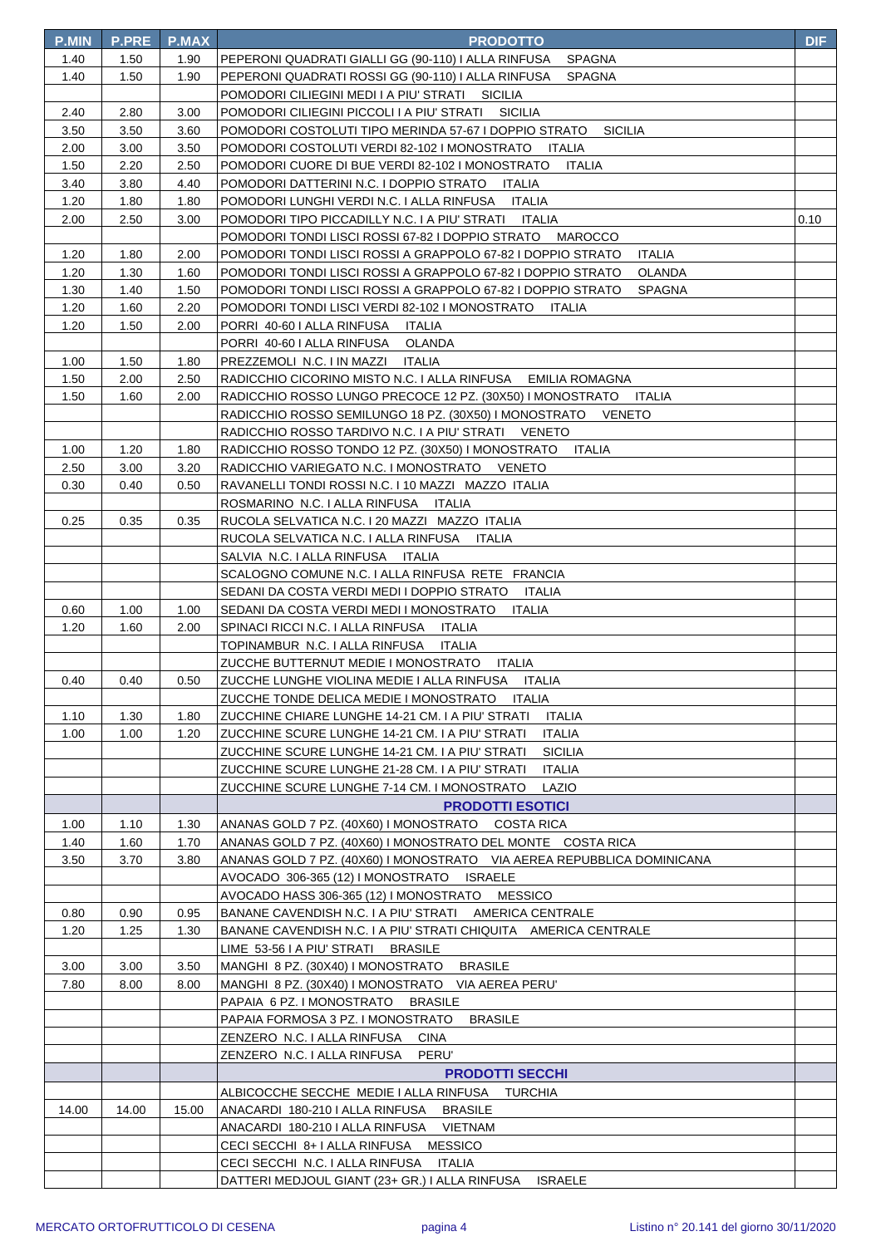| <b>P.MIN</b> | <b>P.PRE</b> | <b>P.MAX</b> | <b>PRODOTTO</b>                                                                                                      | <b>DIF</b> |
|--------------|--------------|--------------|----------------------------------------------------------------------------------------------------------------------|------------|
| 1.40         | 1.50         | 1.90         | PEPERONI QUADRATI GIALLI GG (90-110) I ALLA RINFUSA<br><b>SPAGNA</b>                                                 |            |
| 1.40         | 1.50         | 1.90         | PEPERONI QUADRATI ROSSI GG (90-110) I ALLA RINFUSA<br><b>SPAGNA</b>                                                  |            |
|              |              |              | POMODORI CILIEGINI MEDI I A PIU' STRATI SICILIA                                                                      |            |
| 2.40         | 2.80         | 3.00         | POMODORI CILIEGINI PICCOLI I A PIU' STRATI<br>SICILIA                                                                |            |
| 3.50         | 3.50         | 3.60         | POMODORI COSTOLUTI TIPO MERINDA 57-67 I DOPPIO STRATO<br><b>SICILIA</b>                                              |            |
| 2.00         | 3.00         | 3.50         | POMODORI COSTOLUTI VERDI 82-102 I MONOSTRATO ITALIA                                                                  |            |
| 1.50         | 2.20         | 2.50         | POMODORI CUORE DI BUE VERDI 82-102 I MONOSTRATO<br>ITALIA                                                            |            |
| 3.40         | 3.80         | 4.40         | POMODORI DATTERINI N.C. I DOPPIO STRATO ITALIA                                                                       |            |
| 1.20         | 1.80         | 1.80         | POMODORI LUNGHI VERDI N.C. I ALLA RINFUSA ITALIA                                                                     |            |
| 2.00         | 2.50         | 3.00         | POMODORI TIPO PICCADILLY N.C. I A PIU' STRATI ITALIA                                                                 | 0.10       |
|              |              |              | POMODORI TONDI LISCI ROSSI 67-82 I DOPPIO STRATO MAROCCO                                                             |            |
| 1.20         | 1.80         | 2.00         | POMODORI TONDI LISCI ROSSI A GRAPPOLO 67-82 I DOPPIO STRATO<br><b>ITALIA</b>                                         |            |
| 1.20         | 1.30         | 1.60         | POMODORI TONDI LISCI ROSSI A GRAPPOLO 67-82 I DOPPIO STRATO<br>OLANDA                                                |            |
| 1.30         | 1.40         | 1.50         | POMODORI TONDI LISCI ROSSI A GRAPPOLO 67-82 I DOPPIO STRATO<br><b>SPAGNA</b>                                         |            |
| 1.20         | 1.60         | 2.20         | POMODORI TONDI LISCI VERDI 82-102 I MONOSTRATO<br>ITALIA                                                             |            |
| 1.20         | 1.50         | 2.00         | PORRI 40-60 I ALLA RINFUSA<br>ITALIA                                                                                 |            |
|              |              |              | PORRI 40-60 I ALLA RINFUSA<br><b>OLANDA</b>                                                                          |            |
| 1.00         | 1.50         | 1.80         | PREZZEMOLI N.C. I IN MAZZI<br>ITALIA                                                                                 |            |
| 1.50         | 2.00         | 2.50         | RADICCHIO CICORINO MISTO N.C. I ALLA RINFUSA<br>EMILIA ROMAGNA                                                       |            |
| 1.50         | 1.60         | 2.00         | RADICCHIO ROSSO LUNGO PRECOCE 12 PZ. (30X50) I MONOSTRATO ITALIA                                                     |            |
|              |              |              | RADICCHIO ROSSO SEMILUNGO 18 PZ. (30X50) I MONOSTRATO VENETO                                                         |            |
|              |              |              | RADICCHIO ROSSO TARDIVO N.C. I A PIU' STRATI VENETO                                                                  |            |
| 1.00         | 1.20         | 1.80         | RADICCHIO ROSSO TONDO 12 PZ. (30X50) I MONOSTRATO<br>ITALIA                                                          |            |
| 2.50         | 3.00         | 3.20         | RADICCHIO VARIEGATO N.C. I MONOSTRATO VENETO                                                                         |            |
| 0.30         | 0.40         | 0.50         | RAVANELLI TONDI ROSSI N.C. I 10 MAZZI MAZZO ITALIA                                                                   |            |
|              |              |              | ROSMARINO N.C. I ALLA RINFUSA ITALIA                                                                                 |            |
| 0.25         | 0.35         | 0.35         | RUCOLA SELVATICA N.C. I 20 MAZZI MAZZO ITALIA                                                                        |            |
|              |              |              | RUCOLA SELVATICA N.C. I ALLA RINFUSA<br>ITALIA                                                                       |            |
|              |              |              | SALVIA N.C. I ALLA RINFUSA ITALIA                                                                                    |            |
|              |              |              | SCALOGNO COMUNE N.C. I ALLA RINFUSA RETE FRANCIA                                                                     |            |
|              |              |              | SEDANI DA COSTA VERDI MEDI I DOPPIO STRATO ITALIA                                                                    |            |
| 0.60         | 1.00         | 1.00         | SEDANI DA COSTA VERDI MEDI I MONOSTRATO ITALIA                                                                       |            |
| 1.20         | 1.60         | 2.00         | SPINACI RICCI N.C. I ALLA RINFUSA<br>ITALIA                                                                          |            |
|              |              |              | TOPINAMBUR N.C. I ALLA RINFUSA<br><b>ITALIA</b>                                                                      |            |
|              |              |              | ZUCCHE BUTTERNUT MEDIE I MONOSTRATO<br><b>ITALIA</b>                                                                 |            |
| 0.40         | 0.40         | 0.50         | ZUCCHE LUNGHE VIOLINA MEDIE I ALLA RINFUSA<br><b>ITALIA</b>                                                          |            |
|              |              |              | ZUCCHE TONDE DELICA MEDIE I MONOSTRATO ITALIA                                                                        |            |
| 1.10<br>1.00 | 1.30         | 1.80         | ZUCCHINE CHIARE LUNGHE 14-21 CM. I A PIU' STRATI<br>ITALIA<br><b>ITALIA</b>                                          |            |
|              | 1.00         | 1.20         | ZUCCHINE SCURE LUNGHE 14-21 CM. I A PIU' STRATI<br><b>SICILIA</b><br>ZUCCHINE SCURE LUNGHE 14-21 CM. I A PIU' STRATI |            |
|              |              |              | ZUCCHINE SCURE LUNGHE 21-28 CM. I A PIU' STRATI<br><b>ITALIA</b>                                                     |            |
|              |              |              | ZUCCHINE SCURE LUNGHE 7-14 CM. I MONOSTRATO<br>LAZIO                                                                 |            |
|              |              |              |                                                                                                                      |            |
|              |              |              | <b>PRODOTTI ESOTICI</b><br>ANANAS GOLD 7 PZ. (40X60) I MONOSTRATO COSTA RICA                                         |            |
| 1.00<br>1.40 | 1.10<br>1.60 | 1.30<br>1.70 | ANANAS GOLD 7 PZ. (40X60) I MONOSTRATO DEL MONTE COSTA RICA                                                          |            |
| 3.50         | 3.70         | 3.80         | ANANAS GOLD 7 PZ. (40X60) I MONOSTRATO VIA AEREA REPUBBLICA DOMINICANA                                               |            |
|              |              |              | AVOCADO 306-365 (12) I MONOSTRATO ISRAELE                                                                            |            |
|              |              |              | <b>MESSICO</b><br>AVOCADO HASS 306-365 (12) I MONOSTRATO                                                             |            |
| 0.80         | 0.90         | 0.95         | BANANE CAVENDISH N.C. I A PIU' STRATI AMERICA CENTRALE                                                               |            |
| 1.20         | 1.25         | 1.30         | BANANE CAVENDISH N.C. I A PIU' STRATI CHIQUITA AMERICA CENTRALE                                                      |            |
|              |              |              | LIME 53-56 I A PIU' STRATI<br><b>BRASILE</b>                                                                         |            |
| 3.00         | 3.00         | 3.50         | MANGHI 8 PZ. (30X40) I MONOSTRATO<br><b>BRASILE</b>                                                                  |            |
| 7.80         | 8.00         | 8.00         | MANGHI 8 PZ. (30X40) I MONOSTRATO VIA AEREA PERU'                                                                    |            |
|              |              |              | PAPAIA 6 PZ. I MONOSTRATO<br><b>BRASILE</b>                                                                          |            |
|              |              |              | PAPAIA FORMOSA 3 PZ. I MONOSTRATO<br><b>BRASILE</b>                                                                  |            |
|              |              |              | ZENZERO N.C. I ALLA RINFUSA<br><b>CINA</b>                                                                           |            |
|              |              |              | PERU'<br>ZENZERO N.C. I ALLA RINFUSA                                                                                 |            |
|              |              |              | <b>PRODOTTI SECCHI</b>                                                                                               |            |
|              |              |              | ALBICOCCHE SECCHE MEDIE I ALLA RINFUSA TURCHIA                                                                       |            |
| 14.00        | 14.00        | 15.00        | ANACARDI 180-210 I ALLA RINFUSA BRASILE                                                                              |            |
|              |              |              | ANACARDI 180-210   ALLA RINFUSA VIETNAM                                                                              |            |
|              |              |              | CECI SECCHI 8+ I ALLA RINFUSA MESSICO                                                                                |            |
|              |              |              | CECI SECCHI N.C. I ALLA RINFUSA ITALIA                                                                               |            |
|              |              |              | DATTERI MEDJOUL GIANT (23+ GR.) I ALLA RINFUSA ISRAELE                                                               |            |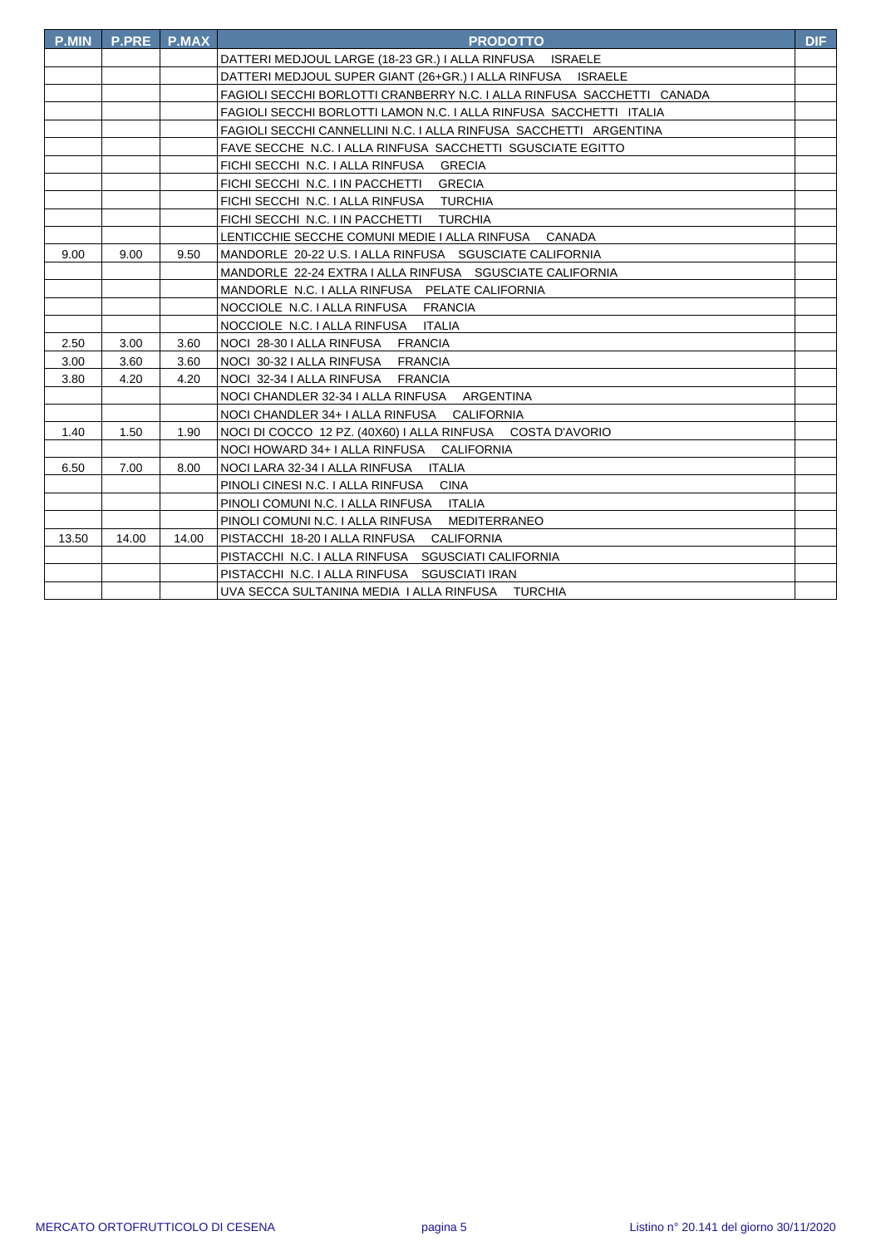| <b>P.MIN</b> | <b>P.PRE</b> | <b>P.MAX</b> | <b>PRODOTTO</b>                                                        | <b>DIF</b> |
|--------------|--------------|--------------|------------------------------------------------------------------------|------------|
|              |              |              | DATTERI MEDJOUL LARGE (18-23 GR.) I ALLA RINFUSA ISRAELE               |            |
|              |              |              | DATTERI MEDJOUL SUPER GIANT (26+GR.) I ALLA RINFUSA<br><b>ISRAELE</b>  |            |
|              |              |              | FAGIOLI SECCHI BORLOTTI CRANBERRY N.C. I ALLA RINFUSA SACCHETTI CANADA |            |
|              |              |              | FAGIOLI SECCHI BORLOTTI LAMON N.C. I ALLA RINFUSA SACCHETTI ITALIA     |            |
|              |              |              | FAGIOLI SECCHI CANNELLINI N.C. I ALLA RINFUSA SACCHETTI ARGENTINA      |            |
|              |              |              | FAVE SECCHE N.C. I ALLA RINFUSA SACCHETTI SGUSCIATE EGITTO             |            |
|              |              |              | FICHI SECCHI N.C. I ALLA RINFUSA GRECIA                                |            |
|              |              |              | FICHI SECCHI N.C. I IN PACCHETTI<br><b>GRECIA</b>                      |            |
|              |              |              | FICHI SECCHI N.C. I ALLA RINFUSA TURCHIA                               |            |
|              |              |              | FICHI SECCHI N.C. I IN PACCHETTI TURCHIA                               |            |
|              |              |              | LENTICCHIE SECCHE COMUNI MEDIE I ALLA RINFUSA<br><b>CANADA</b>         |            |
| 9.00         | 9.00         | 9.50         | MANDORLE 20-22 U.S. I ALLA RINFUSA SGUSCIATE CALIFORNIA                |            |
|              |              |              | MANDORLE 22-24 EXTRA I ALLA RINFUSA SGUSCIATE CALIFORNIA               |            |
|              |              |              | MANDORLE N.C. I ALLA RINFUSA PELATE CALIFORNIA                         |            |
|              |              |              | NOCCIOLE N.C. I ALLA RINFUSA FRANCIA                                   |            |
|              |              |              | NOCCIOLE N.C. I ALLA RINFUSA<br><b>ITALIA</b>                          |            |
| 2.50         | 3.00         | 3.60         | NOCI 28-30   ALLA RINFUSA FRANCIA                                      |            |
| 3.00         | 3.60         | 3.60         | NOCI 30-32 I ALLA RINFUSA<br><b>FRANCIA</b>                            |            |
| 3.80         | 4.20         | 4.20         | NOCI 32-34   ALLA RINFUSA FRANCIA                                      |            |
|              |              |              | NOCI CHANDLER 32-34   ALLA RINFUSA ARGENTINA                           |            |
|              |              |              | NOCI CHANDLER 34+ I ALLA RINFUSA CALIFORNIA                            |            |
| 1.40         | 1.50         | 1.90         | NOCI DI COCCO 12 PZ. (40X60) I ALLA RINFUSA COSTA D'AVORIO             |            |
|              |              |              | NOCI HOWARD 34+ I ALLA RINFUSA CALIFORNIA                              |            |
| 6.50         | 7.00         | 8.00         | NOCI LARA 32-34   ALLA RINFUSA   ITALIA                                |            |
|              |              |              | PINOLI CINESI N.C. I ALLA RINFUSA<br><b>CINA</b>                       |            |
|              |              |              | PINOLI COMUNI N.C. I ALLA RINFUSA ITALIA                               |            |
|              |              |              | PINOLI COMUNI N.C. I ALLA RINFUSA<br><b>MEDITERRANEO</b>               |            |
| 13.50        | 14.00        | 14.00        | PISTACCHI 18-20 I ALLA RINFUSA<br><b>CALIFORNIA</b>                    |            |
|              |              |              | PISTACCHI N.C. I ALLA RINFUSA SGUSCIATI CALIFORNIA                     |            |
|              |              |              | PISTACCHI N.C. I ALLA RINFUSA SGUSCIATI IRAN                           |            |
|              |              |              | UVA SECCA SULTANINA MEDIA I ALLA RINFUSA TURCHIA                       |            |